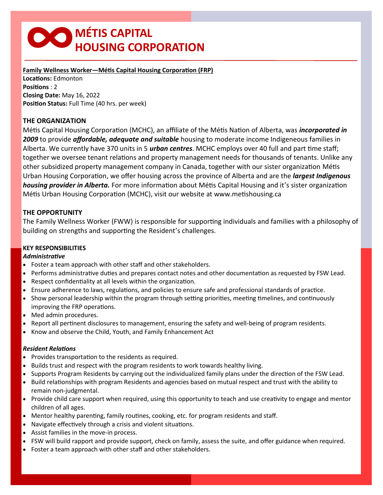# **∞MÉTIS CAPITAL HOUSING CORPORATION**

**Family Wellness Worker—Métis Capital Housing Corporation (FRP) Locations:** Edmonton **Positions** : 2 **Closing Date:** May 16, 2022 **Position Status:** Full Time (40 hrs. per week)

# **THE ORGANIZATION**

Métis Capital Housing Corporation (MCHC), an affiliate of the Métis Nation of Alberta, was *incorporated in 2009* to provide *affordable, adequate and suitable* housing to moderate income Indigeneous families in Alberta. We currently have 370 units in 5 *urban centres*. MCHC employs over 40 full and part time staff; together we oversee tenant relations and property management needs for thousands of tenants. Unlike any other subsidized property management company in Canada, together with our sister organization Métis Urban Housing Corporation, we offer housing across the province of Alberta and are the *largest Indigenous housing provider in Alberta.* For more information about Métis Capital Housing and it's sister organization Métis Urban Housing Corporation (MCHC), visit our website at www.metishousing.ca

# **THE OPPORTUNITY**

The Family Wellness Worker (FWW) is responsible for supporting individuals and families with a philosophy of building on strengths and supporting the Resident's challenges.

# **KEY RESPONSIBILITIES**

#### *Administrative*

- Foster a team approach with other staff and other stakeholders.
- Performs administrative duties and prepares contact notes and other documentation as requested by FSW Lead.
- Respect confidentiality at all levels within the organization.
- Ensure adherence to laws, regulations, and policies to ensure safe and professional standards of practice.
- Show personal leadership within the program through setting priorities, meeting timelines, and continuously improving the FRP operations.
- Med admin procedures.
- Report all pertinent disclosures to management, ensuring the safety and well-being of program residents.
- Know and observe the Child, Youth, and Family Enhancement Act

#### *Resident Relations*

- Provides transportation to the residents as required.
- Builds trust and respect with the program residents to work towards healthy living.
- Supports Program Residents by carrying out the individualized family plans under the direction of the FSW Lead.
- Build relationships with program Residents and agencies based on mutual respect and trust with the ability to remain non-judgmental.
- Provide child care support when required, using this opportunity to teach and use creativity to engage and mentor children of all ages.
- Mentor healthy parenting, family routines, cooking, etc. for program residents and staff.
- Navigate effectively through a crisis and violent situations.
- Assist families in the move-in process.
- FSW will build rapport and provide support, check on family, assess the suite, and offer guidance when required.
- Foster a team approach with other staff and other stakeholders.